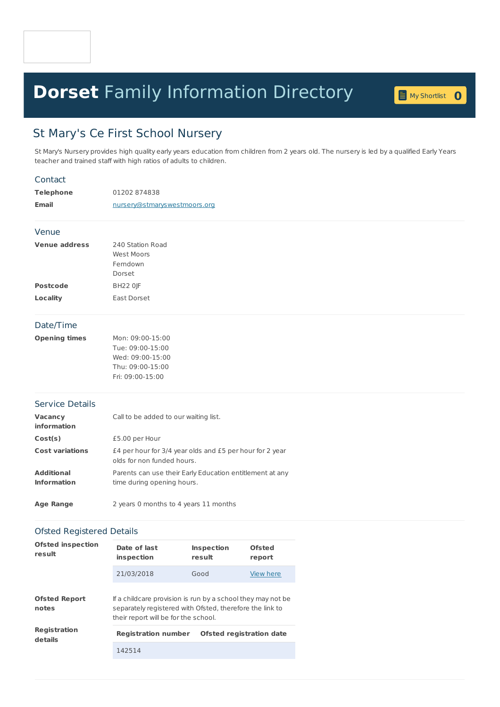## **Dorset** Family [Information](home.page) Directory **<sup>0</sup>**



## St Mary's Ce First School Nursery

St Mary's Nursery provides high quality early years education from children from 2 years old. The nursery is led by a qualified Early Years teacher and trained staff with high ratios of adults to children.

| Contact                          |                                                          |                                                          |                         |  |  |  |  |
|----------------------------------|----------------------------------------------------------|----------------------------------------------------------|-------------------------|--|--|--|--|
| <b>Telephone</b>                 | 01202 874838                                             |                                                          |                         |  |  |  |  |
| <b>Email</b>                     | nursery@stmaryswestmoors.org                             |                                                          |                         |  |  |  |  |
|                                  |                                                          |                                                          |                         |  |  |  |  |
| Venue                            |                                                          |                                                          |                         |  |  |  |  |
| <b>Venue address</b>             | 240 Station Road                                         |                                                          |                         |  |  |  |  |
|                                  | West Moors                                               |                                                          |                         |  |  |  |  |
|                                  | Ferndown<br>Dorset                                       |                                                          |                         |  |  |  |  |
|                                  |                                                          |                                                          |                         |  |  |  |  |
| <b>Postcode</b>                  | BH <sub>22</sub> OJF                                     |                                                          |                         |  |  |  |  |
| Locality                         | East Dorset                                              |                                                          |                         |  |  |  |  |
|                                  |                                                          |                                                          |                         |  |  |  |  |
| Date/Time                        |                                                          |                                                          |                         |  |  |  |  |
| <b>Opening times</b>             | Mon: 09:00-15:00                                         |                                                          |                         |  |  |  |  |
|                                  | Tue: 09:00-15:00<br>Wed: 09:00-15:00                     |                                                          |                         |  |  |  |  |
|                                  | Thu: 09:00-15:00                                         |                                                          |                         |  |  |  |  |
|                                  | Fri: 09:00-15:00                                         |                                                          |                         |  |  |  |  |
|                                  |                                                          |                                                          |                         |  |  |  |  |
| <b>Service Details</b>           |                                                          |                                                          |                         |  |  |  |  |
| Vacancy<br>information           | Call to be added to our waiting list.                    |                                                          |                         |  |  |  |  |
| Cost(s)                          | £5.00 per Hour                                           |                                                          |                         |  |  |  |  |
| <b>Cost variations</b>           | £4 per hour for 3/4 year olds and £5 per hour for 2 year |                                                          |                         |  |  |  |  |
|                                  | olds for non funded hours.                               |                                                          |                         |  |  |  |  |
| <b>Additional</b>                |                                                          | Parents can use their Early Education entitlement at any |                         |  |  |  |  |
| <b>Information</b>               | time during opening hours.                               |                                                          |                         |  |  |  |  |
| <b>Age Range</b>                 |                                                          | 2 years 0 months to 4 years 11 months                    |                         |  |  |  |  |
| <b>Ofsted Registered Details</b> |                                                          |                                                          |                         |  |  |  |  |
| <b>Ofsted inspection</b>         |                                                          |                                                          |                         |  |  |  |  |
| result                           | Date of last<br>inspection                               | <b>Inspection</b><br>result                              | <b>Ofsted</b><br>report |  |  |  |  |
|                                  |                                                          |                                                          |                         |  |  |  |  |
|                                  | 21/03/2018                                               | Good                                                     | View here               |  |  |  |  |
|                                  |                                                          |                                                          |                         |  |  |  |  |

| <b>Ofsted Report</b><br>notes  | their report will be for the school. | If a childcare provision is run by a school they may not be<br>separately registered with Ofsted, therefore the link to |
|--------------------------------|--------------------------------------|-------------------------------------------------------------------------------------------------------------------------|
| <b>Registration</b><br>details | <b>Registration number</b>           | <b>Ofsted registration date</b>                                                                                         |
|                                | 142514                               |                                                                                                                         |